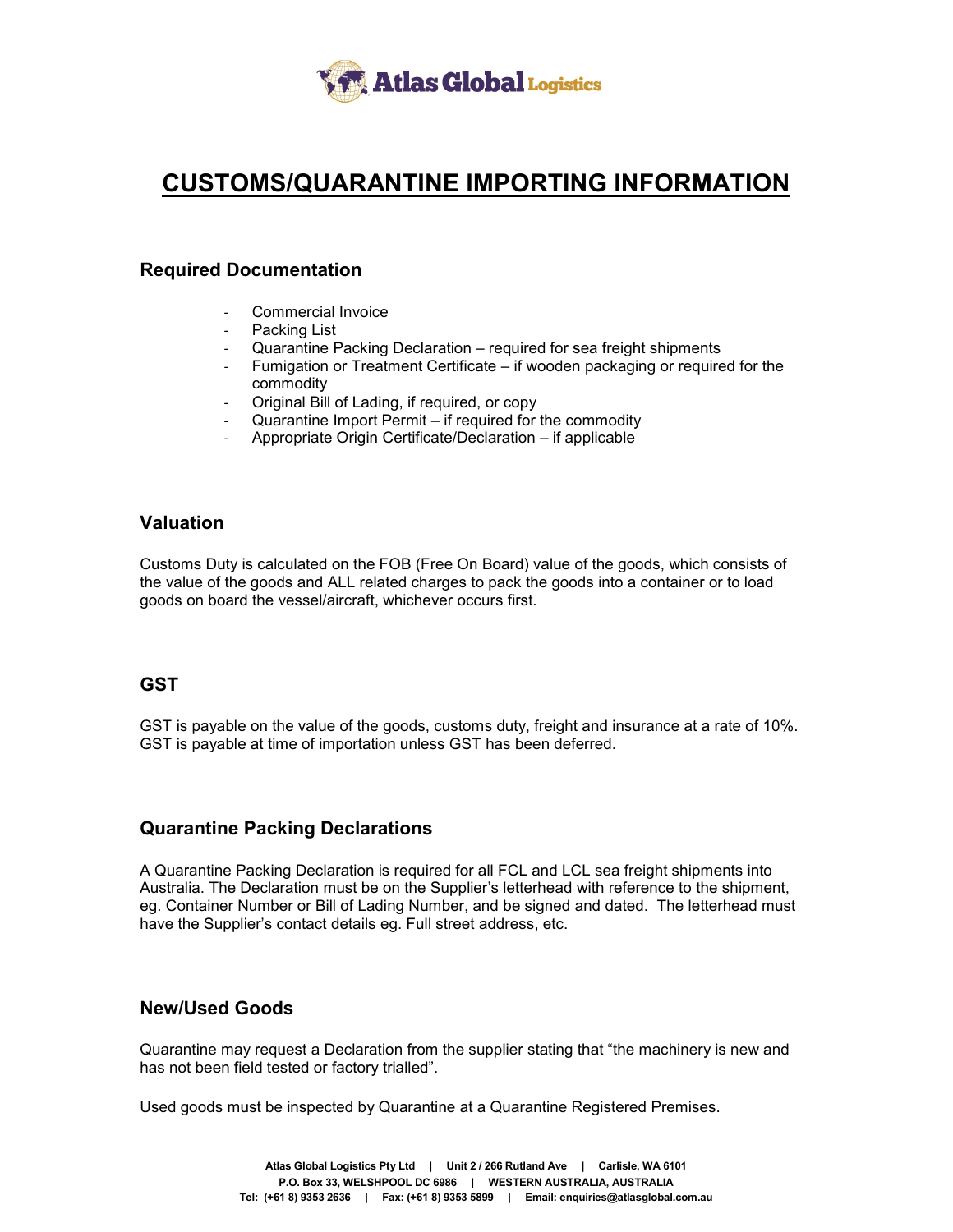

## **CUSTOMS/QUARANTINE IMPORTING INFORMATION**

### **Required Documentation**

- Commercial Invoice
- Packing List
- Quarantine Packing Declaration required for sea freight shipments
- Fumigation or Treatment Certificate if wooden packaging or required for the commodity
- Original Bill of Lading, if required, or copy
- Quarantine Import Permit if required for the commodity
- Appropriate Origin Certificate/Declaration if applicable

## **Valuation**

Customs Duty is calculated on the FOB (Free On Board) value of the goods, which consists of the value of the goods and ALL related charges to pack the goods into a container or to load goods on board the vessel/aircraft, whichever occurs first.

### **GST**

GST is payable on the value of the goods, customs duty, freight and insurance at a rate of 10%. GST is payable at time of importation unless GST has been deferred.

### **Quarantine Packing Declarations**

A Quarantine Packing Declaration is required for all FCL and LCL sea freight shipments into Australia. The Declaration must be on the Supplier's letterhead with reference to the shipment, eg. Container Number or Bill of Lading Number, and be signed and dated. The letterhead must have the Supplier's contact details eg. Full street address, etc.

### **New/Used Goods**

Quarantine may request a Declaration from the supplier stating that "the machinery is new and has not been field tested or factory trialled".

Used goods must be inspected by Quarantine at a Quarantine Registered Premises.